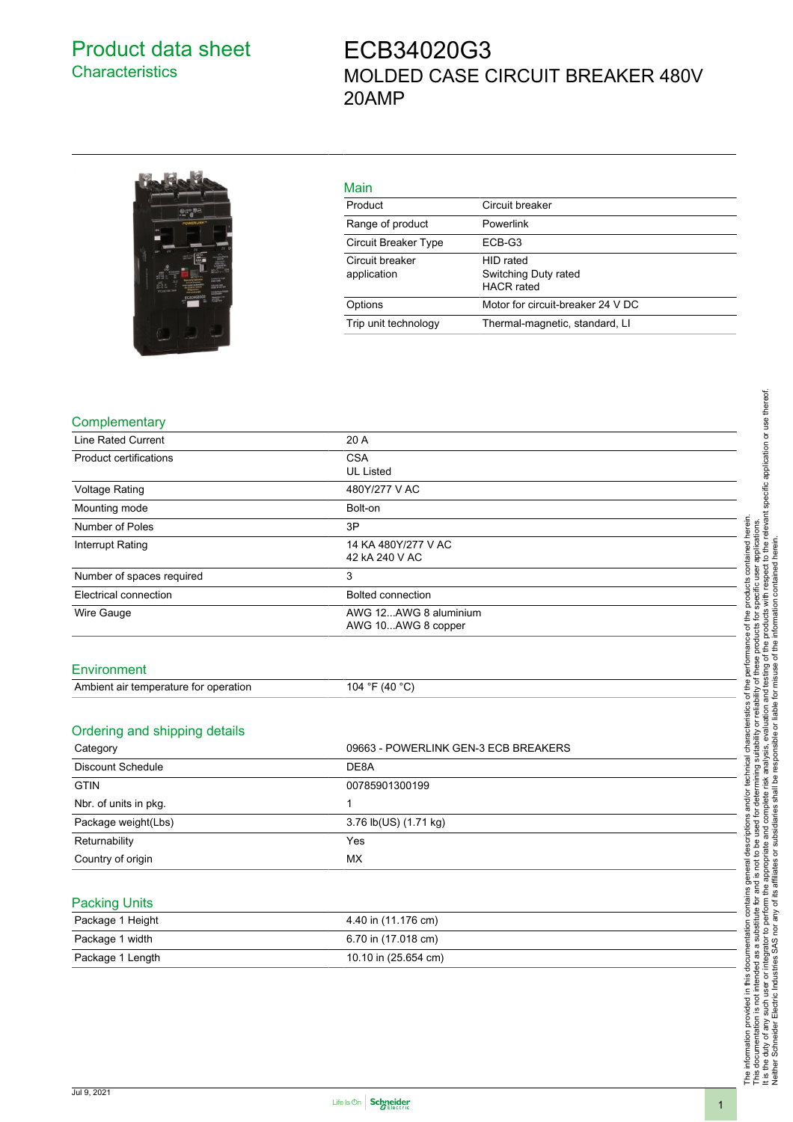## Product data sheet **Characteristics**

# ECB34020G3 MOLDED CASE CIRCUIT BREAKER 480V 20AMP



## Main

| 1112111                        |                                                        |
|--------------------------------|--------------------------------------------------------|
| Product                        | Circuit breaker                                        |
| Range of product               | Powerlink                                              |
| Circuit Breaker Type           | ECB-G3                                                 |
| Circuit breaker<br>application | HID rated<br>Switching Duty rated<br><b>HACR</b> rated |
| Options                        | Motor for circuit-breaker 24 V DC                      |
| Trip unit technology           | Thermal-magnetic, standard, Ll                         |

#### **Complementary**

| <b>Line Rated Current</b>             | 20 A                                        |  |
|---------------------------------------|---------------------------------------------|--|
| <b>Product certifications</b>         | <b>CSA</b>                                  |  |
|                                       | <b>UL Listed</b>                            |  |
| <b>Voltage Rating</b>                 | 480Y/277 V AC                               |  |
| Mounting mode                         | Bolt-on                                     |  |
| Number of Poles                       | 3P                                          |  |
| Interrupt Rating                      | 14 KA 480Y/277 V AC                         |  |
|                                       | 42 kA 240 V AC                              |  |
| Number of spaces required             | 3                                           |  |
| Electrical connection                 | Bolted connection                           |  |
| Wire Gauge                            | AWG 12AWG 8 aluminium<br>AWG 10AWG 8 copper |  |
| Environment                           |                                             |  |
|                                       |                                             |  |
| Ambient air temperature for operation | 104 °F (40 °C)                              |  |
| Ordering and shipping details         |                                             |  |
|                                       |                                             |  |
| Category                              | 09663 - POWERLINK GEN-3 ECB BREAKERS        |  |
| <b>Discount Schedule</b>              | DE8A                                        |  |
| <b>GTIN</b>                           | 00785901300199                              |  |
| Nbr. of units in pkg.                 | 1                                           |  |
| Package weight(Lbs)                   | 3.76 lb(US) (1.71 kg)                       |  |
| Returnability                         | Yes                                         |  |

#### Packing Units

**Country of origin** MX

| Package 1 Height | 4.40 in (11.176 cm)  |
|------------------|----------------------|
| Package 1 width  | 6.70 in (17.018 cm)  |
| Package 1 Length | 10.10 in (25.654 cm) |